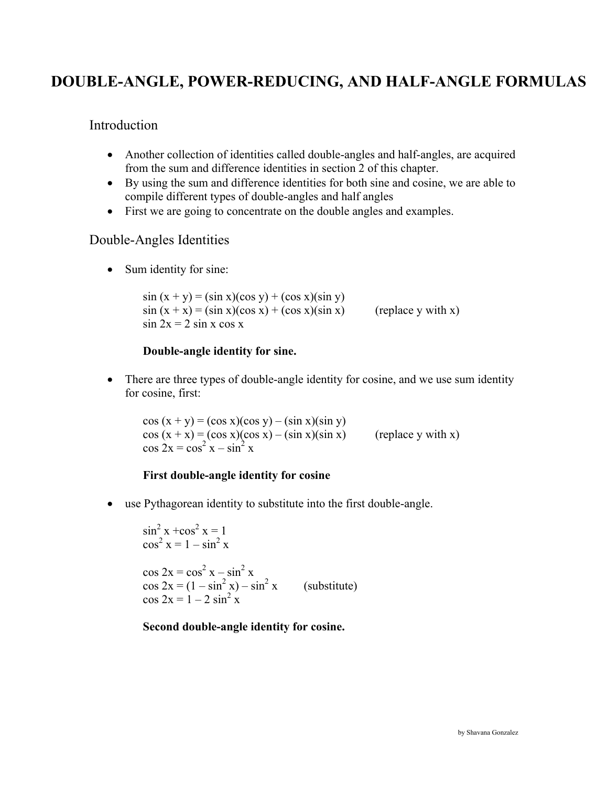# **DOUBLE-ANGLE, POWER-REDUCING, AND HALF-ANGLE FORMULAS**

### Introduction

- Another collection of identities called double-angles and half-angles, are acquired from the sum and difference identities in section 2 of this chapter.
- By using the sum and difference identities for both sine and cosine, we are able to compile different types of double-angles and half angles
- First we are going to concentrate on the double angles and examples.

### Double-Angles Identities

• Sum identity for sine:

 $sin (x + y) = (sin x)(cos y) + (cos x)(sin y)$  $sin(x + x) = (sin x)(cos x) + (cos x)(sin x)$  (replace y with x)  $\sin 2x = 2 \sin x \cos x$ 

#### **Double-angle identity for sine.**

• There are three types of double-angle identity for cosine, and we use sum identity for cosine, first:

 $\cos(x + y) = (\cos x)(\cos y) - (\sin x)(\sin y)$  $cos(x + x) = (cos x)(cos x) - (sin x)(sin x)$  (replace y with x)  $\cos 2x = \cos^2 x - \sin^2 x$ 

#### **First double-angle identity for cosine**

• use Pythagorean identity to substitute into the first double-angle.

 $\sin^2 x + \cos^2 x = 1$  $\cos^2 x = 1 - \sin^2 x$  $\cos 2x = \cos^2 x - \sin^2 x$  $\cos 2x = (1 - \sin^2 x) - \sin^2 x$ (substitute)  $\cos 2x = 1 - 2 \sin^2 x$ 

#### **Second double-angle identity for cosine.**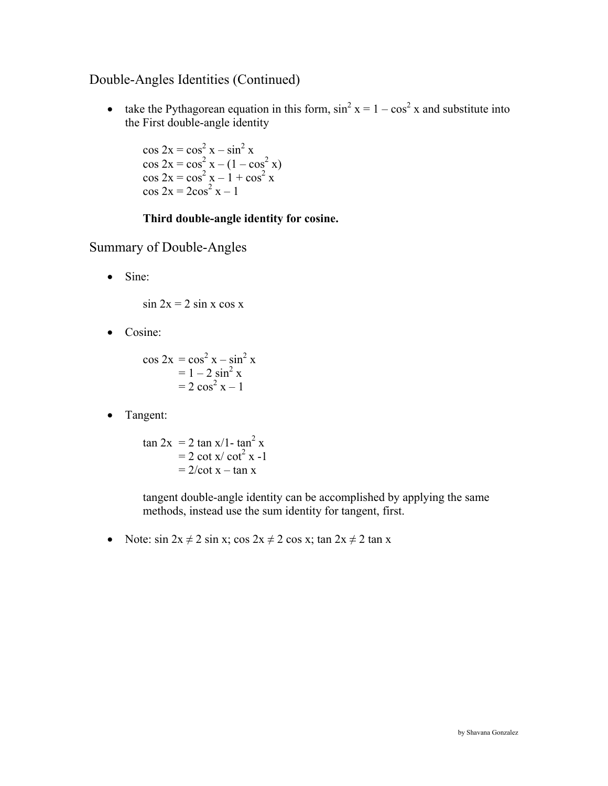# Double-Angles Identities (Continued)

• take the Pythagorean equation in this form,  $\sin^2 x = 1 - \cos^2 x$  and substitute into the First double-angle identity

 $\cos 2x = \cos^2 x - \sin^2 x$  $\cos 2x = \cos^2 x - (1 - \cos^2 x)$  $\cos 2x = \cos^2 x - 1 + \cos^2 x$  $\cos 2x = 2\cos^2 x - 1$ 

### **Third double-angle identity for cosine.**

Summary of Double-Angles

• Sine:

 $\sin 2x = 2 \sin x \cos x$ 

• Cosine:

 $\cos 2x = \cos^2 x - \sin^2 x$  $= 1 - 2 \sin^2 x$  $= 2 \cos^2 x - 1$ 

• Tangent:

 $\tan 2x = 2 \tan x/1 - \tan^2 x$  $= 2 \cot x / \cot^2 x - 1$  $= 2/cot x - tan x$ 

> tangent double-angle identity can be accomplished by applying the same methods, instead use the sum identity for tangent, first.

• Note:  $\sin 2x \neq 2 \sin x$ ;  $\cos 2x \neq 2 \cos x$ ;  $\tan 2x \neq 2 \tan x$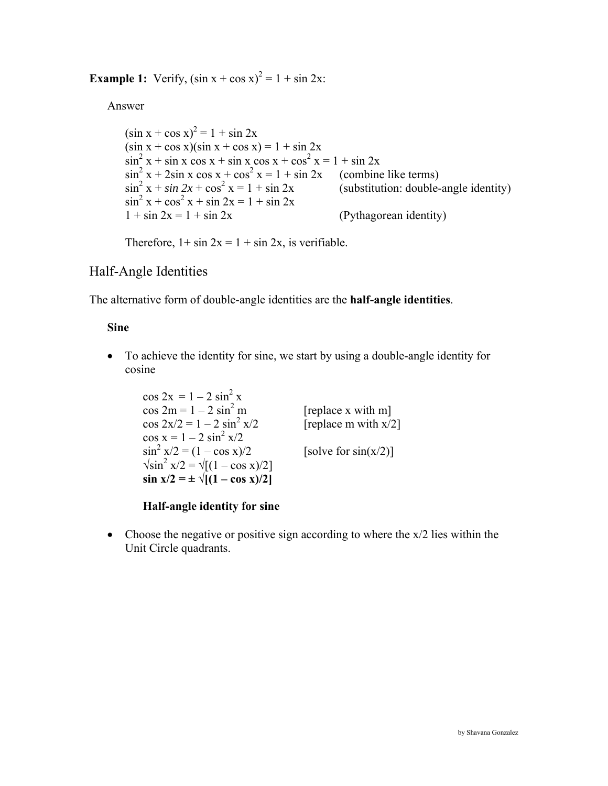**Example 1:** Verify,  $(\sin x + \cos x)^2 = 1 + \sin 2x$ :

Answer

 $(\sin x + \cos x)^2 = 1 + \sin 2x$  $(\sin x + \cos x)(\sin x + \cos x) = 1 + \sin 2x$  $\sin^2 x + \sin x \cos x + \sin x \cos x + \cos^2 x = 1 + \sin 2x$  $\sin^2 x + 2\sin x \cos x + \cos^2 x$ (combine like terms)  $\sin^2 x + \sin 2x + \cos^2 x$ (substitution: double-angle identity)  $\sin^2 x + \cos^2 x + \sin 2x = 1 + \sin 2x$  $1 + \sin 2x = 1 + \sin 2x$  (Pythagorean identity)

Therefore,  $1 + \sin 2x = 1 + \sin 2x$ , is verifiable.

# Half-Angle Identities

The alternative form of double-angle identities are the **half-angle identities**.

 **Sine** 

• To achieve the identity for sine, we start by using a double-angle identity for cosine

 $\cos 2x = 1 - 2 \sin^2 x$  $\cos 2m = 1 - 2 \sin^2 m$ [replace x with m]  $\cos 2x/2 = 1 - 2 \sin^2 x/2$ [replace m with  $x/2$ ]  $\cos x = 1 - 2 \sin^2 x/2$  $\sin^2 x/2 = (1 - \cos x)/2$ [solve for  $sin(x/2)$ ]  $\sqrt{\sin^2 x/2} = \sqrt{(1 - \cos x)/2}$  $\sin x/2 = \pm \sqrt{[(1 - \cos x)/2]}$ 

 **Half-angle identity for sine**

• Choose the negative or positive sign according to where the  $x/2$  lies within the Unit Circle quadrants.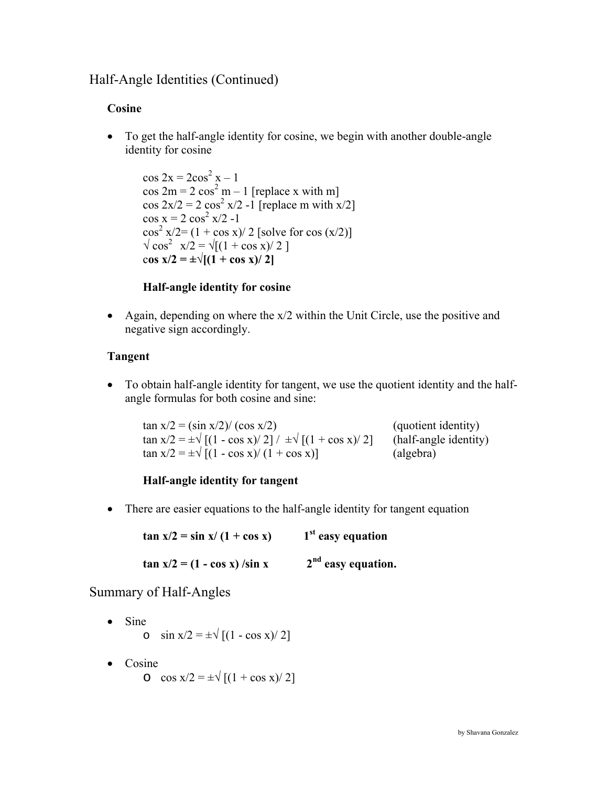# Half-Angle Identities (Continued)

### **Cosine**

• To get the half-angle identity for cosine, we begin with another double-angle identity for cosine

 $\cos 2x = 2\cos^2 x - 1$  $\cos 2m = 2 \cos^2 m - 1$  [replace x with m]  $\cos 2x/2 = 2 \cos^2 x/2 -1$  [replace m with x/2]  $\cos x = 2 \cos^2 x/2 -1$  $\cos^2 x/2 = (1 + \cos x)/2$  [solve for  $\cos (x/2)$ ]  $\sqrt{\cos^2 x/2} = \sqrt{(1 + \cos x)/2}$ cos  $x/2 = \pm \sqrt{(1 + \cos x)/2}$ 

### **Half-angle identity for cosine**

• Again, depending on where the x/2 within the Unit Circle, use the positive and negative sign accordingly.

#### **Tangent**

• To obtain half-angle identity for tangent, we use the quotient identity and the halfangle formulas for both cosine and sine:

 $\tan x/2 = (\sin x/2)/(\cos x/2)$  (quotient identity)  $\tan x/2 = \pm \sqrt{(1 - \cos x)/2} / \pm \sqrt{(1 + \cos x)/2}$  (half-angle identity)  $\tan x/2 = \pm \sqrt{(1 - \cos x)/(1 + \cos x)}$  (algebra)

### **Half-angle identity for tangent**

• There are easier equations to the half-angle identity for tangent equation

 $\tan x/2 = \sin x/(1 + \cos x)$  1<sup>st</sup> easy equation  $\tan x/2 = (1 - \cos x) / \sin x$  2<sup>nd</sup> easy equation.

### Summary of Half-Angles

- Sine o  $\sin x/2 = \pm \sqrt{(1 - \cos x)/2}$
- Cosine

 $\cos x/2 = \pm \sqrt{[(1 + \cos x)/2]}$